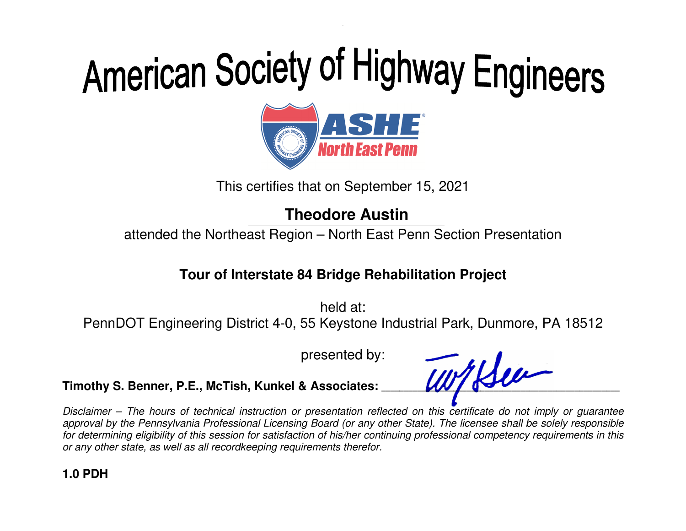

This certifies that on September 15, 2021

**Theodore Austin** 

attended the Northeast Region – North East Penn Section Presentation

#### **Tour of Interstate 84 Bridge Rehabilitation Project**

held at: PennDOT Engineering District 4-0, 55 Keystone Industrial Park, Dunmore, PA 18512

presented by:

Timothy S. Benner, P.E., McTish, Kunkel & Associates: **With Reference Report Contains and Textures** 

Disclaimer – The hours of technical instruction or presentation reflected on this certificate do not imply or guarantee approval by the Pennsylvania Professional Licensing Board (or any other State). The licensee shall be solely responsible for determining eligibility of this session for satisfaction of his/her continuing professional competency requirements in this or any other state, as well as all recordkeeping requirements therefor.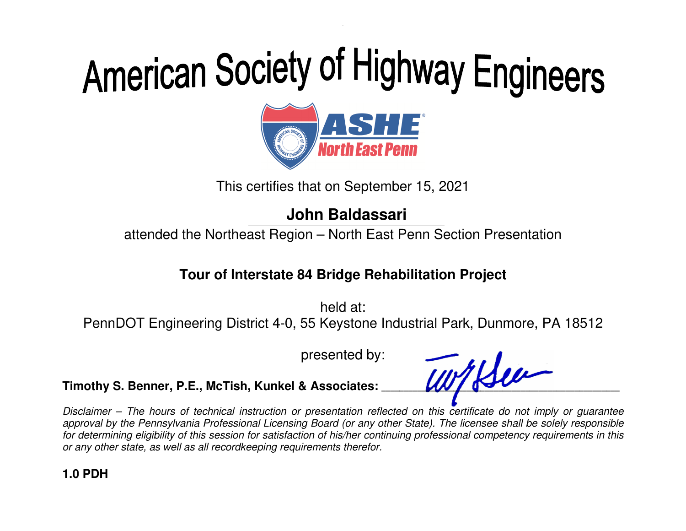

This certifies that on September 15, 2021

**John Baldassari** 

attended the Northeast Region – North East Penn Section Presentation

#### **Tour of Interstate 84 Bridge Rehabilitation Project**

held at: PennDOT Engineering District 4-0, 55 Keystone Industrial Park, Dunmore, PA 18512

presented by:

Timothy S. Benner, P.E., McTish, Kunkel & Associates: **With Reference Report Contains and Textures** 

Disclaimer – The hours of technical instruction or presentation reflected on this certificate do not imply or guarantee approval by the Pennsylvania Professional Licensing Board (or any other State). The licensee shall be solely responsible for determining eligibility of this session for satisfaction of his/her continuing professional competency requirements in this or any other state, as well as all recordkeeping requirements therefor.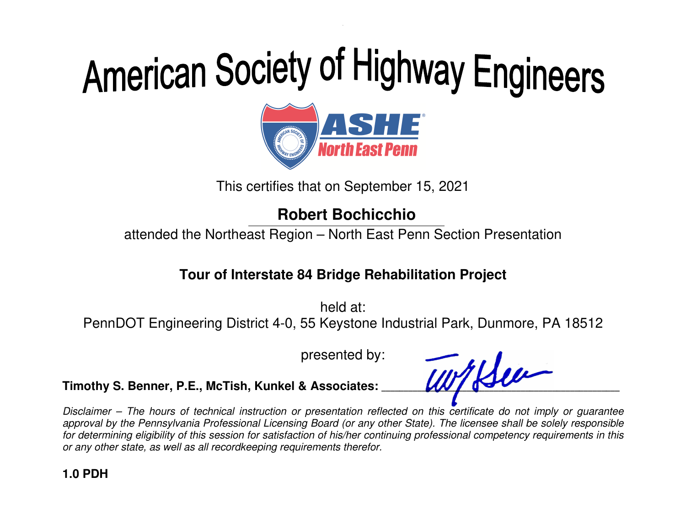

This certifies that on September 15, 2021

### **Robert Bochicchio**

attended the Northeast Region – North East Penn Section Presentation

### **Tour of Interstate 84 Bridge Rehabilitation Project**

held at: PennDOT Engineering District 4-0, 55 Keystone Industrial Park, Dunmore, PA 18512

presented by:

Timothy S. Benner, P.E., McTish, Kunkel & Associates: **WITHAU** 

Disclaimer – The hours of technical instruction or presentation reflected on this certificate do not imply or guarantee approval by the Pennsylvania Professional Licensing Board (or any other State). The licensee shall be solely responsible for determining eligibility of this session for satisfaction of his/her continuing professional competency requirements in this or any other state, as well as all recordkeeping requirements therefor.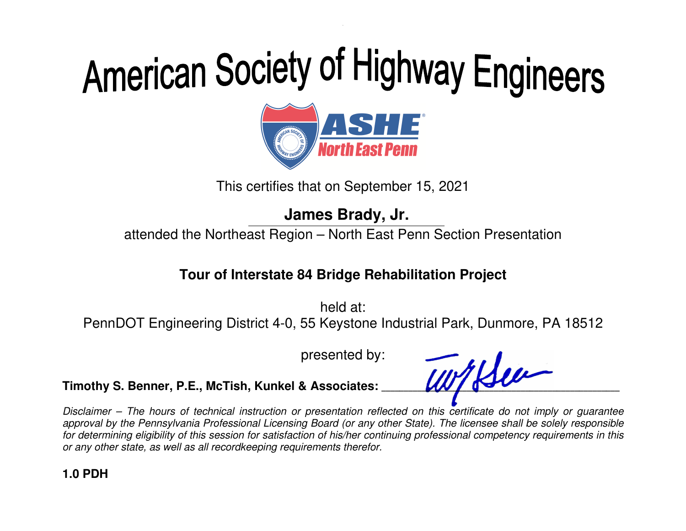

This certifies that on September 15, 2021

**James Brady, Jr.** 

attended the Northeast Region – North East Penn Section Presentation

### **Tour of Interstate 84 Bridge Rehabilitation Project**

held at: PennDOT Engineering District 4-0, 55 Keystone Industrial Park, Dunmore, PA 18512

presented by:

Timothy S. Benner, P.E., McTish, Kunkel & Associates: **With Halles** 

Disclaimer – The hours of technical instruction or presentation reflected on this certificate do not imply or guarantee approval by the Pennsylvania Professional Licensing Board (or any other State). The licensee shall be solely responsible for determining eligibility of this session for satisfaction of his/her continuing professional competency requirements in this or any other state, as well as all recordkeeping requirements therefor.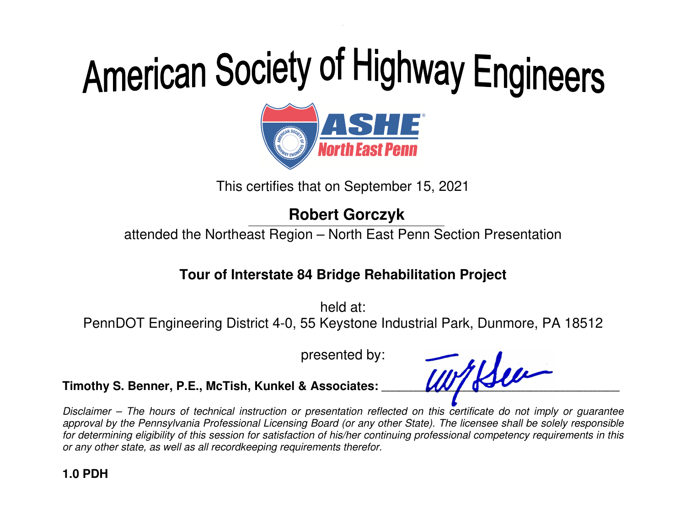

This certifies that on September 15, 2021

**Robert Gorczyk** 

attended the Northeast Region – North East Penn Section Presentation

### **Tour of Interstate 84 Bridge Rehabilitation Project**

held at: PennDOT Engineering District 4-0, 55 Keystone Industrial Park, Dunmore, PA 18512

presented by:

Timothy S. Benner, P.E., McTish, Kunkel & Associates: **WITHAU** 

Disclaimer – The hours of technical instruction or presentation reflected on this certificate do not imply or guarantee approval by the Pennsylvania Professional Licensing Board (or any other State). The licensee shall be solely responsible for determining eligibility of this session for satisfaction of his/her continuing professional competency requirements in this or any other state, as well as all recordkeeping requirements therefor.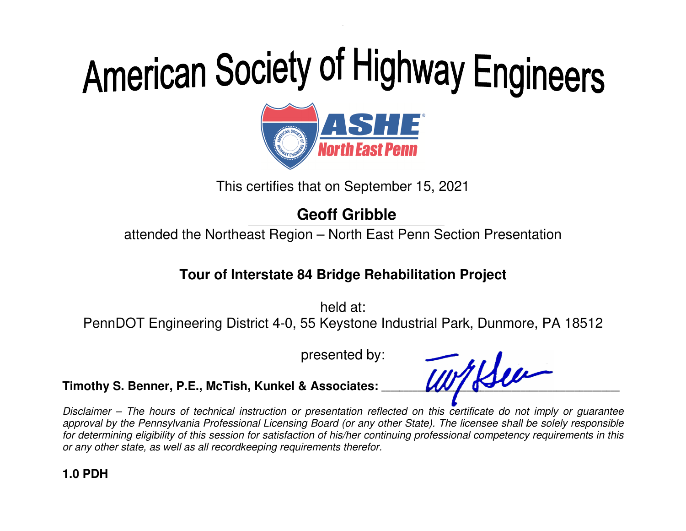

This certifies that on September 15, 2021

### **Geoff Gribble**

attended the Northeast Region – North East Penn Section Presentation

### **Tour of Interstate 84 Bridge Rehabilitation Project**

held at: PennDOT Engineering District 4-0, 55 Keystone Industrial Park, Dunmore, PA 18512

presented by:

Timothy S. Benner, P.E., McTish, Kunkel & Associates: **WITHOU** 

Disclaimer – The hours of technical instruction or presentation reflected on this certificate do not imply or guarantee approval by the Pennsylvania Professional Licensing Board (or any other State). The licensee shall be solely responsible for determining eligibility of this session for satisfaction of his/her continuing professional competency requirements in this or any other state, as well as all recordkeeping requirements therefor.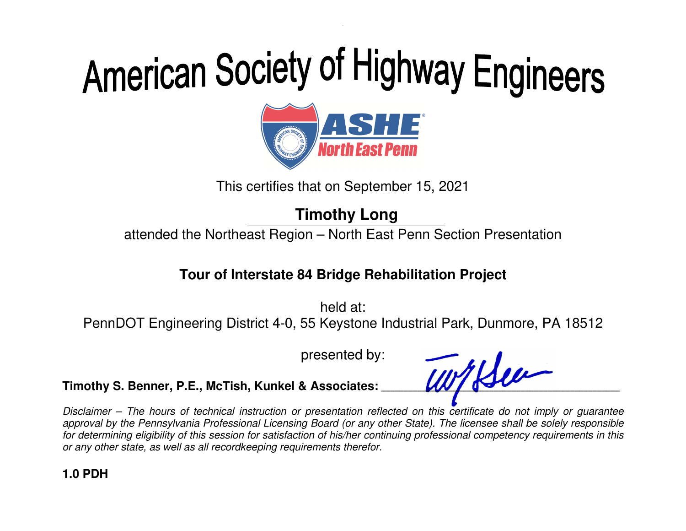

This certifies that on September 15, 2021

**Timothy Long** 

attended the Northeast Region – North East Penn Section Presentation

#### **Tour of Interstate 84 Bridge Rehabilitation Project**

held at: PennDOT Engineering District 4-0, 55 Keystone Industrial Park, Dunmore, PA 18512

presented by:

Timothy S. Benner, P.E., McTish, Kunkel & Associates: **WITHAU** 

Disclaimer – The hours of technical instruction or presentation reflected on this certificate do not imply or guarantee approval by the Pennsylvania Professional Licensing Board (or any other State). The licensee shall be solely responsible for determining eligibility of this session for satisfaction of his/her continuing professional competency requirements in this or any other state, as well as all recordkeeping requirements therefor.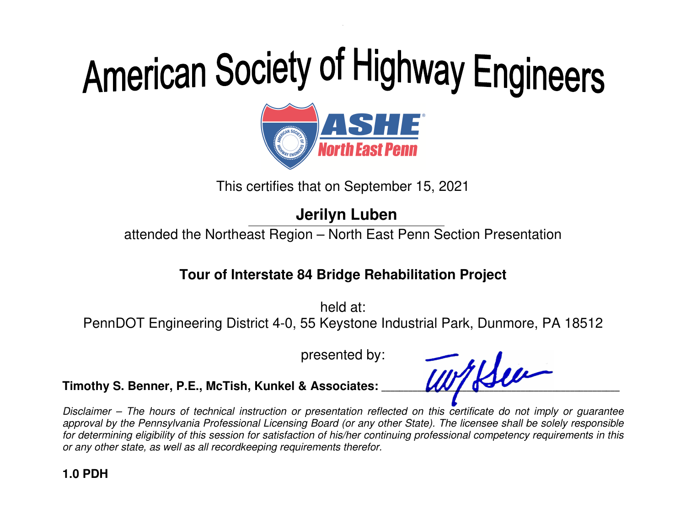

This certifies that on September 15, 2021

**Jerilyn Luben** 

attended the Northeast Region – North East Penn Section Presentation

### **Tour of Interstate 84 Bridge Rehabilitation Project**

held at: PennDOT Engineering District 4-0, 55 Keystone Industrial Park, Dunmore, PA 18512

presented by:

Timothy S. Benner, P.E., McTish, Kunkel & Associates: **WITHAU** 

Disclaimer – The hours of technical instruction or presentation reflected on this certificate do not imply or guarantee approval by the Pennsylvania Professional Licensing Board (or any other State). The licensee shall be solely responsible for determining eligibility of this session for satisfaction of his/her continuing professional competency requirements in this or any other state, as well as all recordkeeping requirements therefor.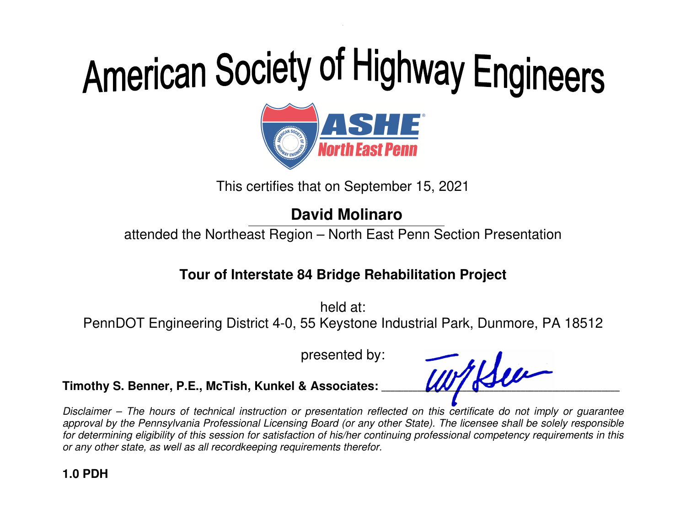

This certifies that on September 15, 2021

**David Molinaro** 

attended the Northeast Region – North East Penn Section Presentation

### **Tour of Interstate 84 Bridge Rehabilitation Project**

held at: PennDOT Engineering District 4-0, 55 Keystone Industrial Park, Dunmore, PA 18512

presented by:

Timothy S. Benner, P.E., McTish, Kunkel & Associates: **WITHAU** 

Disclaimer – The hours of technical instruction or presentation reflected on this certificate do not imply or guarantee approval by the Pennsylvania Professional Licensing Board (or any other State). The licensee shall be solely responsible for determining eligibility of this session for satisfaction of his/her continuing professional competency requirements in this or any other state, as well as all recordkeeping requirements therefor.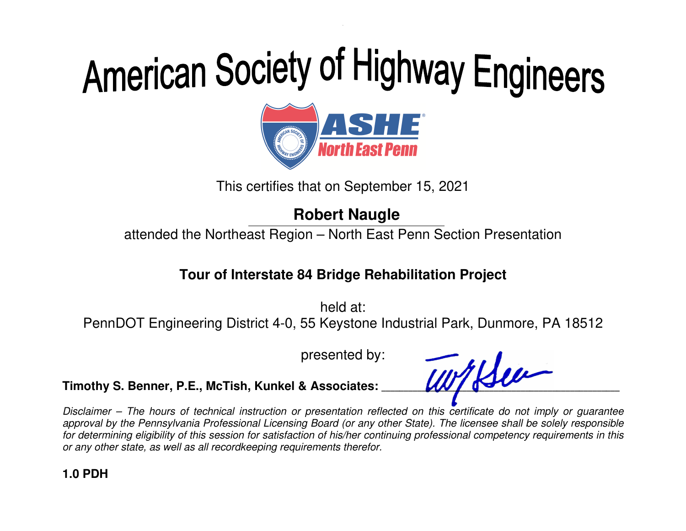

This certifies that on September 15, 2021

### **Robert Naugle**

attended the Northeast Region – North East Penn Section Presentation

### **Tour of Interstate 84 Bridge Rehabilitation Project**

held at: PennDOT Engineering District 4-0, 55 Keystone Industrial Park, Dunmore, PA 18512

presented by:

Timothy S. Benner, P.E., McTish, Kunkel & Associates: **WITHAU** 

Disclaimer – The hours of technical instruction or presentation reflected on this certificate do not imply or guarantee approval by the Pennsylvania Professional Licensing Board (or any other State). The licensee shall be solely responsible for determining eligibility of this session for satisfaction of his/her continuing professional competency requirements in this or any other state, as well as all recordkeeping requirements therefor.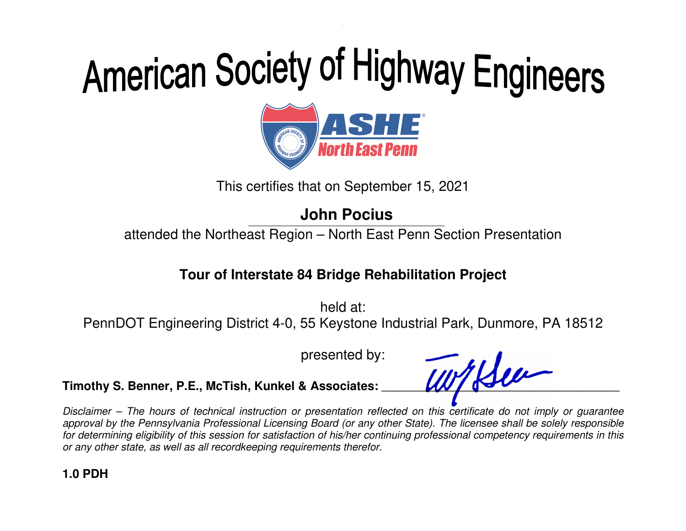

This certifies that on September 15, 2021

### **John Pocius**

attended the Northeast Region – North East Penn Section Presentation

### **Tour of Interstate 84 Bridge Rehabilitation Project**

held at: PennDOT Engineering District 4-0, 55 Keystone Industrial Park, Dunmore, PA 18512

presented by:

Timothy S. Benner, P.E., McTish, Kunkel & Associates: **With Reference Report Contains and Textures** 

Disclaimer – The hours of technical instruction or presentation reflected on this certificate do not imply or guarantee approval by the Pennsylvania Professional Licensing Board (or any other State). The licensee shall be solely responsible for determining eligibility of this session for satisfaction of his/her continuing professional competency requirements in this or any other state, as well as all recordkeeping requirements therefor.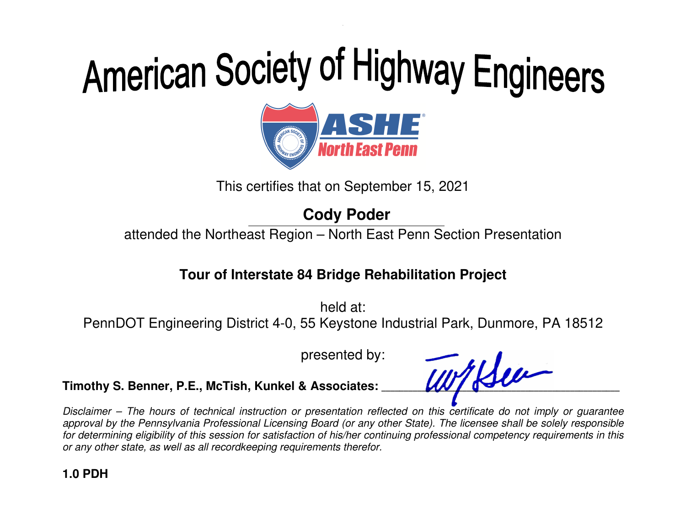

This certifies that on September 15, 2021

### **Cody Poder**

attended the Northeast Region – North East Penn Section Presentation

### **Tour of Interstate 84 Bridge Rehabilitation Project**

held at: PennDOT Engineering District 4-0, 55 Keystone Industrial Park, Dunmore, PA 18512

presented by:

Timothy S. Benner, P.E., McTish, Kunkel & Associates: **WITHAU** 

Disclaimer – The hours of technical instruction or presentation reflected on this certificate do not imply or guarantee approval by the Pennsylvania Professional Licensing Board (or any other State). The licensee shall be solely responsible for determining eligibility of this session for satisfaction of his/her continuing professional competency requirements in this or any other state, as well as all recordkeeping requirements therefor.